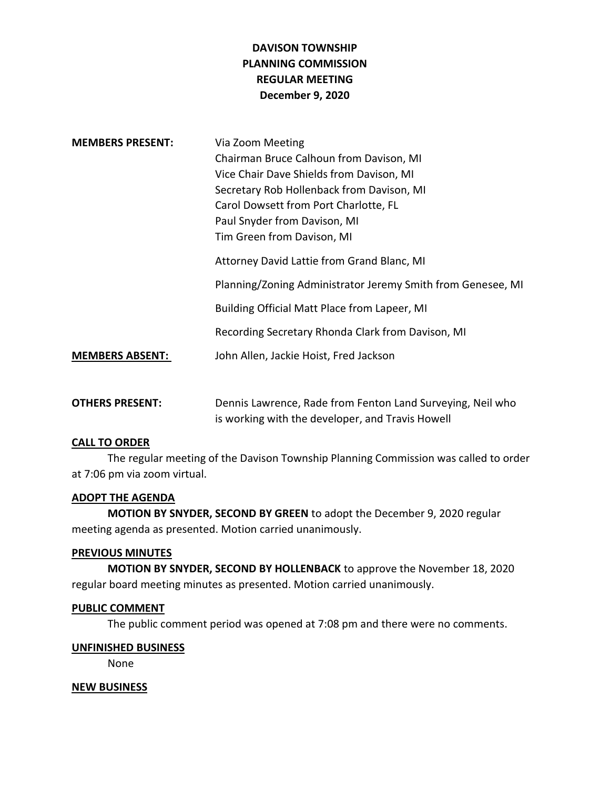# **DAVISON TOWNSHIP PLANNING COMMISSION REGULAR MEETING December 9, 2020**

| <b>MEMBERS PRESENT:</b> | Via Zoom Meeting                                            |
|-------------------------|-------------------------------------------------------------|
|                         | Chairman Bruce Calhoun from Davison, MI                     |
|                         | Vice Chair Dave Shields from Davison, MI                    |
|                         | Secretary Rob Hollenback from Davison, MI                   |
|                         | Carol Dowsett from Port Charlotte, FL                       |
|                         | Paul Snyder from Davison, MI                                |
|                         | Tim Green from Davison, MI                                  |
|                         | Attorney David Lattie from Grand Blanc, MI                  |
|                         | Planning/Zoning Administrator Jeremy Smith from Genesee, MI |
|                         | Building Official Matt Place from Lapeer, MI                |
|                         | Recording Secretary Rhonda Clark from Davison, MI           |
| <b>MEMBERS ABSENT:</b>  | John Allen, Jackie Hoist, Fred Jackson                      |
|                         |                                                             |

**OTHERS PRESENT:** Dennis Lawrence, Rade from Fenton Land Surveying, Neil who is working with the developer, and Travis Howell

## **CALL TO ORDER**

The regular meeting of the Davison Township Planning Commission was called to order at 7:06 pm via zoom virtual.

#### **ADOPT THE AGENDA**

**MOTION BY SNYDER, SECOND BY GREEN** to adopt the December 9, 2020 regular meeting agenda as presented. Motion carried unanimously.

## **PREVIOUS MINUTES**

**MOTION BY SNYDER, SECOND BY HOLLENBACK** to approve the November 18, 2020 regular board meeting minutes as presented. Motion carried unanimously.

#### **PUBLIC COMMENT**

The public comment period was opened at 7:08 pm and there were no comments.

## **UNFINISHED BUSINESS**

None

## **NEW BUSINESS**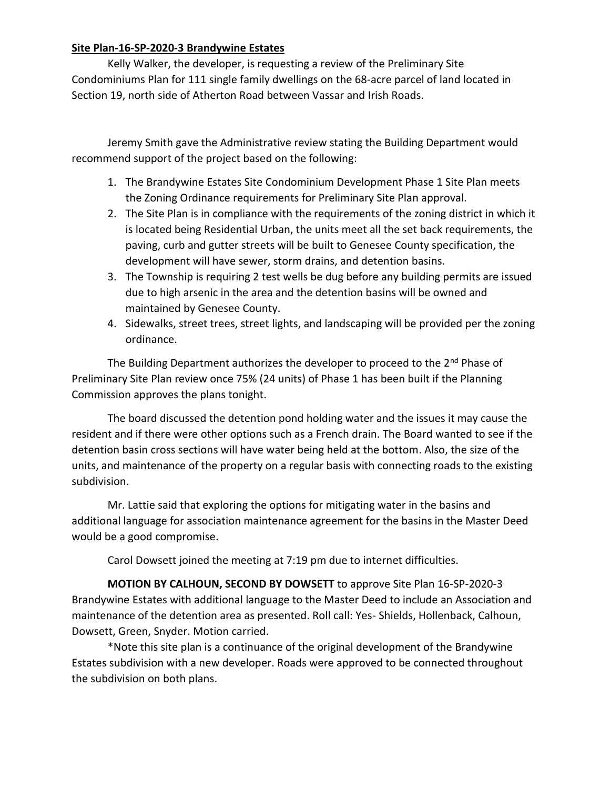# **Site Plan-16-SP-2020-3 Brandywine Estates**

Kelly Walker, the developer, is requesting a review of the Preliminary Site Condominiums Plan for 111 single family dwellings on the 68-acre parcel of land located in Section 19, north side of Atherton Road between Vassar and Irish Roads.

Jeremy Smith gave the Administrative review stating the Building Department would recommend support of the project based on the following:

- 1. The Brandywine Estates Site Condominium Development Phase 1 Site Plan meets the Zoning Ordinance requirements for Preliminary Site Plan approval.
- 2. The Site Plan is in compliance with the requirements of the zoning district in which it is located being Residential Urban, the units meet all the set back requirements, the paving, curb and gutter streets will be built to Genesee County specification, the development will have sewer, storm drains, and detention basins.
- 3. The Township is requiring 2 test wells be dug before any building permits are issued due to high arsenic in the area and the detention basins will be owned and maintained by Genesee County.
- 4. Sidewalks, street trees, street lights, and landscaping will be provided per the zoning ordinance.

The Building Department authorizes the developer to proceed to the  $2^{nd}$  Phase of Preliminary Site Plan review once 75% (24 units) of Phase 1 has been built if the Planning Commission approves the plans tonight.

The board discussed the detention pond holding water and the issues it may cause the resident and if there were other options such as a French drain. The Board wanted to see if the detention basin cross sections will have water being held at the bottom. Also, the size of the units, and maintenance of the property on a regular basis with connecting roads to the existing subdivision.

Mr. Lattie said that exploring the options for mitigating water in the basins and additional language for association maintenance agreement for the basins in the Master Deed would be a good compromise.

Carol Dowsett joined the meeting at 7:19 pm due to internet difficulties.

**MOTION BY CALHOUN, SECOND BY DOWSETT** to approve Site Plan 16-SP-2020-3 Brandywine Estates with additional language to the Master Deed to include an Association and maintenance of the detention area as presented. Roll call: Yes- Shields, Hollenback, Calhoun, Dowsett, Green, Snyder. Motion carried.

\*Note this site plan is a continuance of the original development of the Brandywine Estates subdivision with a new developer. Roads were approved to be connected throughout the subdivision on both plans.